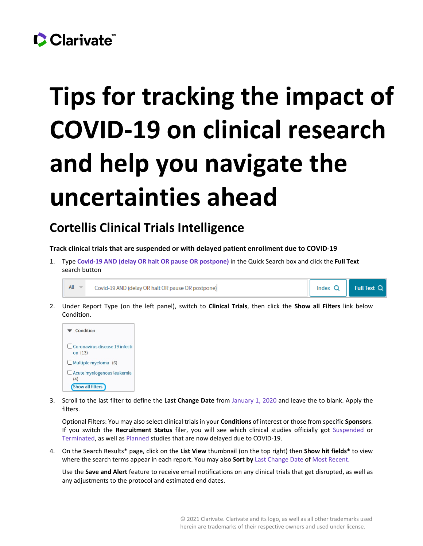## Clarivate

## **Tips for tracking the impact of COVID-19 on clinical research and help you navigate the uncertainties ahead**

## **Cortellis Clinical Trials Intelligence**

**Track clinical trials that are suspended or with delayed patient enrollment due to COVID-19**

1. Type **Covid-19 AND (delay OR halt OR pause OR postpone)** in the Quick Search box and click the **Full Text** search button

```
All -Covid-19 AND (delay OR halt OR pause OR postpone)
```
Index Q Full Text Q

2. Under Report Type (on the left panel), switch to **Clinical Trials**, then click the **Show all Filters** link below Condition.



3. Scroll to the last filter to define the **Last Change Date** from January 1, 2020 and leave the to blank. Apply the filters.

Optional Filters: You may also select clinical trials in your **Conditions** of interest or those from specific **Sponsors**. If you switch the **Recruitment Status** filer, you will see which clinical studies officially got Suspended or Terminated, as well as Planned studies that are now delayed due to COVID-19.

4. On the Search Results\* page, click on the **List View** thumbnail (on the top right) then **Show hit fields\*** to view where the search terms appear in each report. You may also **Sort by** Last Change Date of Most Recent.

Use the **Save and Alert** feature to receive email notifications on any clinical trials that get disrupted, as well as any adjustments to the protocol and estimated end dates.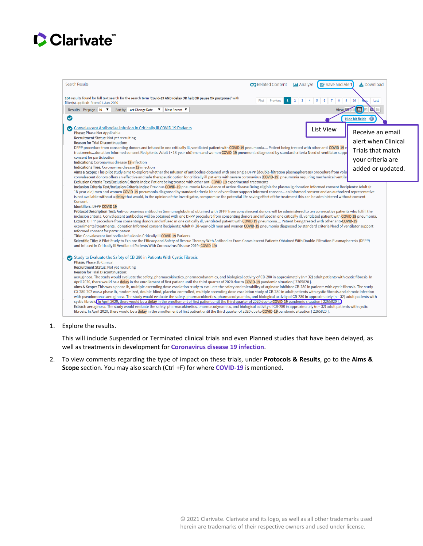



1. Explore the results.

This will include Suspended or Terminated clinical trials and even Planned studies that have been delayed, as well as treatments in development for **Coronavirus disease 19 infection**.

2. To view comments regarding the type of impact on these trials, under **Protocols & Results**, go to the **Aims & Scope** section. You may also search (Ctrl +F) for where **COVID-19** is mentioned.